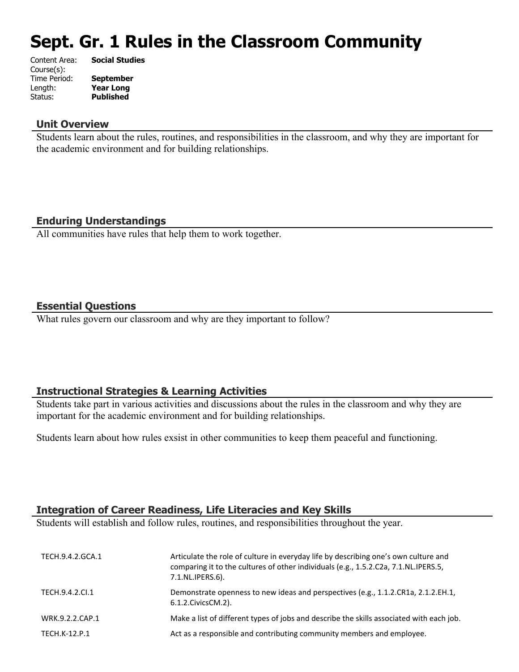# **Sept. Gr. 1 Rules in the Classroom Community**

| Content Area: | <b>Social Studies</b> |
|---------------|-----------------------|
| Course(s):    |                       |
| Time Period:  | <b>September</b>      |
| Length:       | <b>Year Long</b>      |
| Status:       | <b>Published</b>      |
|               |                       |

#### **Unit Overview**

Students learn about the rules, routines, and responsibilities in the classroom, and why they are important for the academic environment and for building relationships.

# **Enduring Understandings**

All communities have rules that help them to work together.

### **Essential Questions**

What rules govern our classroom and why are they important to follow?

### **Instructional Strategies & Learning Activities**

Students take part in various activities and discussions about the rules in the classroom and why they are important for the academic environment and for building relationships.

Students learn about how rules exsist in other communities to keep them peaceful and functioning.

## **Integration of Career Readiness, Life Literacies and Key Skills**

Students will establish and follow rules, routines, and responsibilities throughout the year.

| TECH.9.4.2.GCA.1 | Articulate the role of culture in everyday life by describing one's own culture and<br>comparing it to the cultures of other individuals (e.g., 1.5.2.C2a, 7.1.NL.IPERS.5,<br>7.1.NL.IPERS.6). |
|------------------|------------------------------------------------------------------------------------------------------------------------------------------------------------------------------------------------|
| TECH.9.4.2.Cl.1  | Demonstrate openness to new ideas and perspectives (e.g., 1.1.2.CR1a, 2.1.2.EH.1,<br>6.1.2. Civics CM. 2).                                                                                     |
| WRK.9.2.2.CAP.1  | Make a list of different types of jobs and describe the skills associated with each job.                                                                                                       |
| TECH.K-12.P.1    | Act as a responsible and contributing community members and employee.                                                                                                                          |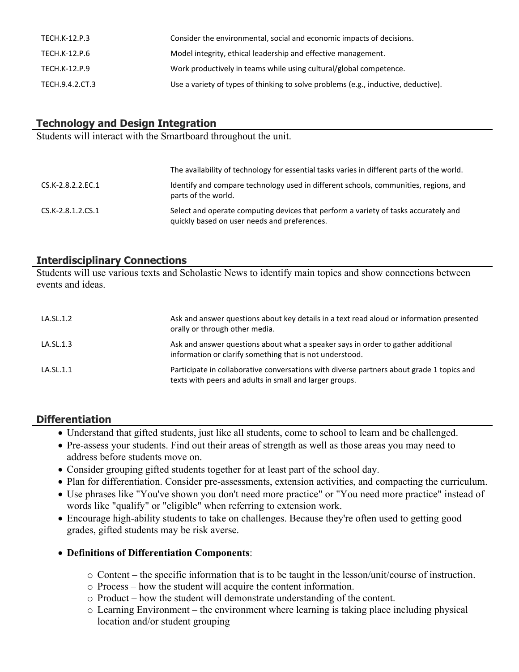| TECH.K-12.P.3   | Consider the environmental, social and economic impacts of decisions.              |
|-----------------|------------------------------------------------------------------------------------|
| TECH.K-12.P.6   | Model integrity, ethical leadership and effective management.                      |
| TECH.K-12.P.9   | Work productively in teams while using cultural/global competence.                 |
| TECH.9.4.2.CT.3 | Use a variety of types of thinking to solve problems (e.g., inductive, deductive). |

# **Technology and Design Integration**

Students will interact with the Smartboard throughout the unit.

|                   | The availability of technology for essential tasks varies in different parts of the world.                                          |
|-------------------|-------------------------------------------------------------------------------------------------------------------------------------|
| CS.K-2.8.2.2.EC.1 | Identify and compare technology used in different schools, communities, regions, and<br>parts of the world.                         |
| CS.K-2.8.1.2.CS.1 | Select and operate computing devices that perform a variety of tasks accurately and<br>quickly based on user needs and preferences. |

# **Interdisciplinary Connections**

Students will use various texts and Scholastic News to identify main topics and show connections between events and ideas.

| LA.SL.1.2 | Ask and answer questions about key details in a text read aloud or information presented<br>orally or through other media.                           |
|-----------|------------------------------------------------------------------------------------------------------------------------------------------------------|
| LA.SL.1.3 | Ask and answer questions about what a speaker says in order to gather additional<br>information or clarify something that is not understood.         |
| LA.SL.1.1 | Participate in collaborative conversations with diverse partners about grade 1 topics and<br>texts with peers and adults in small and larger groups. |

# **Differentiation**

- Understand that gifted students, just like all students, come to school to learn and be challenged.
- Pre-assess your students. Find out their areas of strength as well as those areas you may need to address before students move on.
- Consider grouping gifted students together for at least part of the school day.
- Plan for differentiation. Consider pre-assessments, extension activities, and compacting the curriculum.
- Use phrases like "You've shown you don't need more practice" or "You need more practice" instead of words like "qualify" or "eligible" when referring to extension work.
- Encourage high-ability students to take on challenges. Because they're often used to getting good grades, gifted students may be risk averse.

### **Definitions of Differentiation Components**:

- o Content the specific information that is to be taught in the lesson/unit/course of instruction.
- o Process how the student will acquire the content information.
- o Product how the student will demonstrate understanding of the content.
- o Learning Environment the environment where learning is taking place including physical location and/or student grouping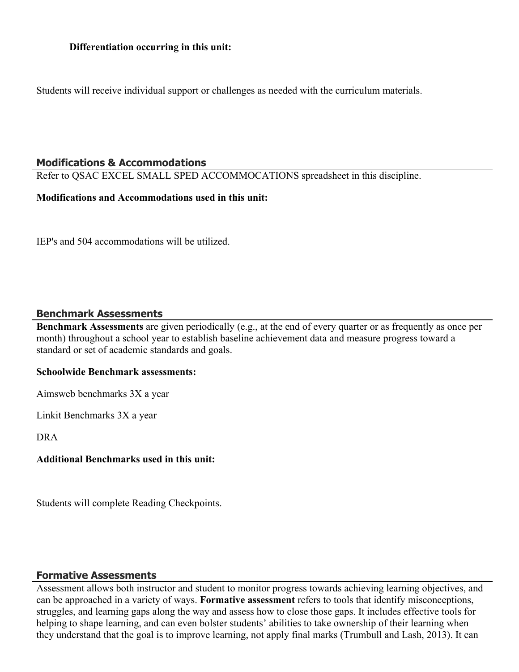Students will receive individual support or challenges as needed with the curriculum materials.

## **Modifications & Accommodations**

Refer to QSAC EXCEL SMALL SPED ACCOMMOCATIONS spreadsheet in this discipline.

#### **Modifications and Accommodations used in this unit:**

IEP's and 504 accommodations will be utilized.

### **Benchmark Assessments**

**Benchmark Assessments** are given periodically (e.g., at the end of every quarter or as frequently as once per month) throughout a school year to establish baseline achievement data and measure progress toward a standard or set of academic standards and goals.

#### **Schoolwide Benchmark assessments:**

Aimsweb benchmarks 3X a year

Linkit Benchmarks 3X a year

DRA

## **Additional Benchmarks used in this unit:**

Students will complete Reading Checkpoints.

### **Formative Assessments**

Assessment allows both instructor and student to monitor progress towards achieving learning objectives, and can be approached in a variety of ways. **Formative assessment** refers to tools that identify misconceptions, struggles, and learning gaps along the way and assess how to close those gaps. It includes effective tools for helping to shape learning, and can even bolster students' abilities to take ownership of their learning when they understand that the goal is to improve learning, not apply final marks (Trumbull and Lash, 2013). It can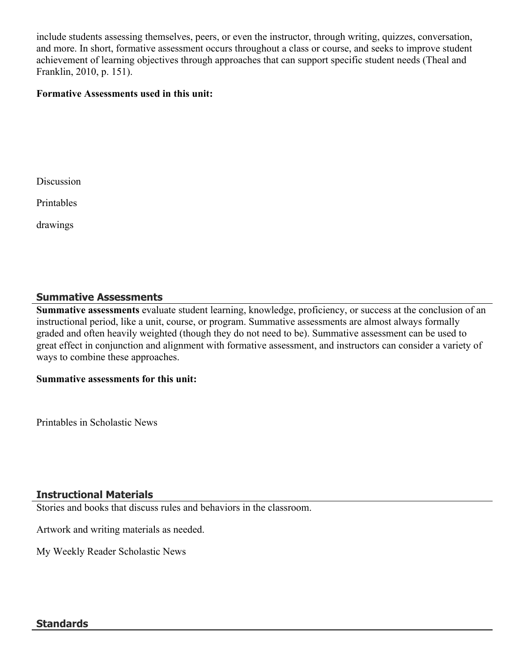include students assessing themselves, peers, or even the instructor, through writing, quizzes, conversation, and more. In short, formative assessment occurs throughout a class or course, and seeks to improve student achievement of learning objectives through approaches that can support specific student needs (Theal and Franklin, 2010, p. 151).

## **Formative Assessments used in this unit:**

Discussion

Printables

drawings

### **Summative Assessments**

**Summative assessments** evaluate student learning, knowledge, proficiency, or success at the conclusion of an instructional period, like a unit, course, or program. Summative assessments are almost always formally graded and often heavily weighted (though they do not need to be). Summative assessment can be used to great effect in conjunction and alignment with formative assessment, and instructors can consider a variety of ways to combine these approaches.

#### **Summative assessments for this unit:**

Printables in Scholastic News

### **Instructional Materials**

Stories and books that discuss rules and behaviors in the classroom.

Artwork and writing materials as needed.

My Weekly Reader Scholastic News